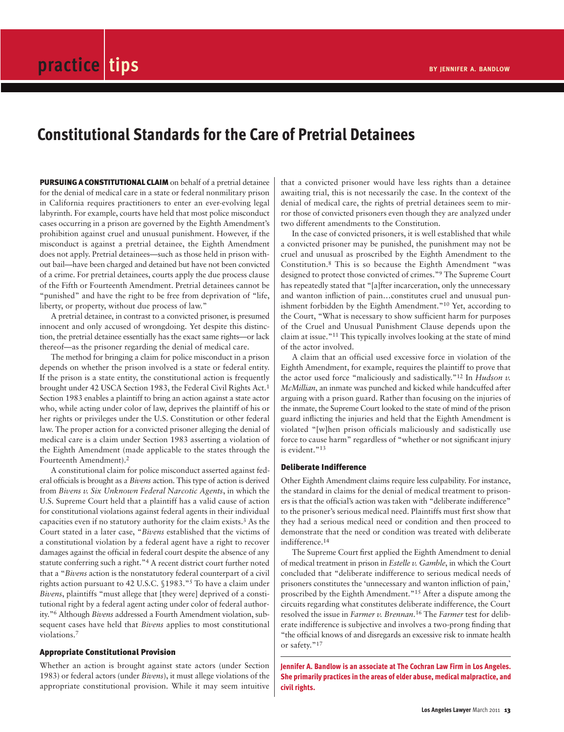# **Constitutional Standards for the Care of Pretrial Detainees**

**PURSUING A CONSTITUTIONAL CLAIM** on behalf of a pretrial detainee for the denial of medical care in a state or federal nonmilitary prison in California requires practitioners to enter an ever-evolving legal labyrinth. For example, courts have held that most police misconduct cases occurring in a prison are governed by the Eighth Amendment's prohibition against cruel and unusual punishment. However, if the misconduct is against a pretrial detainee, the Eighth Amendment does not apply. Pretrial detainees—such as those held in prison without bail—have been charged and detained but have not been convicted of a crime. For pretrial detainees, courts apply the due process clause of the Fifth or Fourteenth Amendment. Pretrial detainees cannot be "punished" and have the right to be free from deprivation of "life, liberty, or property, without due process of law."

A pretrial detainee, in contrast to a convicted prisoner, is presumed innocent and only accused of wrongdoing. Yet despite this distinction, the pretrial detainee essentially has the exact same rights—or lack thereof—as the prisoner regarding the denial of medical care.

The method for bringing a claim for police misconduct in a prison depends on whether the prison involved is a state or federal entity. If the prison is a state entity, the constitutional action is frequently brought under 42 USCA Section 1983, the Federal Civil Rights Act.1 Section 1983 enables a plaintiff to bring an action against a state actor who, while acting under color of law, deprives the plaintiff of his or her rights or privileges under the U.S. Constitution or other federal law. The proper action for a convicted prisoner alleging the denial of medical care is a claim under Section 1983 asserting a violation of the Eighth Amendment (made applicable to the states through the Fourteenth Amendment).2

A constitutional claim for police misconduct asserted against federal officials is brought as a *Bivens* action. This type of action is derived from *Bivens v. Six Unknown Federal Narcotic Agents*, in which the U.S. Supreme Court held that a plaintiff has a valid cause of action for constitutional violations against federal agents in their individual capacities even if no statutory authority for the claim exists.3 As the Court stated in a later case, "*Bivens* established that the victims of a constitutional violation by a federal agent have a right to recover damages against the official in federal court despite the absence of any statute conferring such a right."4 A recent district court further noted that a "*Bivens* action is the nonstatutory federal counterpart of a civil rights action pursuant to 42 U.S.C. §1983."5 To have a claim under *Bivens*, plaintiffs "must allege that [they were] deprived of a constitutional right by a federal agent acting under color of federal authority."6 Although *Bivens* addressed a Fourth Amendment violation, subsequent cases have held that *Bivens* applies to most constitutional violations.7

### **Appropriate Constitutional Provision**

Whether an action is brought against state actors (under Section 1983) or federal actors (under *Bivens*), it must allege violations of the appropriate constitutional provision. While it may seem intuitive

that a convicted prisoner would have less rights than a detainee awaiting trial, this is not necessarily the case. In the context of the denial of medical care, the rights of pretrial detainees seem to mirror those of convicted prisoners even though they are analyzed under two different amendments to the Constitution.

In the case of convicted prisoners, it is well established that while a convicted prisoner may be punished, the punishment may not be cruel and unusual as proscribed by the Eighth Amendment to the Constitution.8 This is so because the Eighth Amendment "was designed to protect those convicted of crimes."9 The Supreme Court has repeatedly stated that "[a]fter incarceration, only the unnecessary and wanton infliction of pain…constitutes cruel and unusual punishment forbidden by the Eighth Amendment."10 Yet, according to the Court, "What is necessary to show sufficient harm for purposes of the Cruel and Unusual Punishment Clause depends upon the claim at issue."11 This typically involves looking at the state of mind of the actor involved.

A claim that an official used excessive force in violation of the Eighth Amendment, for example, requires the plaintiff to prove that the actor used force "maliciously and sadistically."12 In *Hudson v. McMillian*, an inmate was punched and kicked while handcuffed after arguing with a prison guard. Rather than focusing on the injuries of the inmate, the Supreme Court looked to the state of mind of the prison guard inflicting the injuries and held that the Eighth Amendment is violated "[w]hen prison officials maliciously and sadistically use force to cause harm" regardless of "whether or not significant injury is evident."<sup>13</sup>

#### **Deliberate Indifference**

Other Eighth Amendment claims require less culpability. For instance, the standard in claims for the denial of medical treatment to prisoners is that the official's action was taken with "deliberate indifference" to the prisoner's serious medical need. Plaintiffs must first show that they had a serious medical need or condition and then proceed to demonstrate that the need or condition was treated with deliberate indifference.14

The Supreme Court first applied the Eighth Amendment to denial of medical treatment in prison in *Estelle v. Gamble*, in which the Court concluded that "deliberate indifference to serious medical needs of prisoners constitutes the 'unnecessary and wanton infliction of pain,' proscribed by the Eighth Amendment."15 After a dispute among the circuits regarding what constitutes deliberate indifference, the Court resolved the issue in *Farmer v. Brennan*. <sup>16</sup> The *Farmer* test for deliberate indifference is subjective and involves a two-prong finding that "the official knows of and disregards an excessive risk to inmate health or safety."<sup>17</sup>

**Jennifer A. Bandlow is an associate at The Cochran Law Firm in Los Angeles. She primarily practices in the areas of elder abuse, medical malpractice, and civil rights.**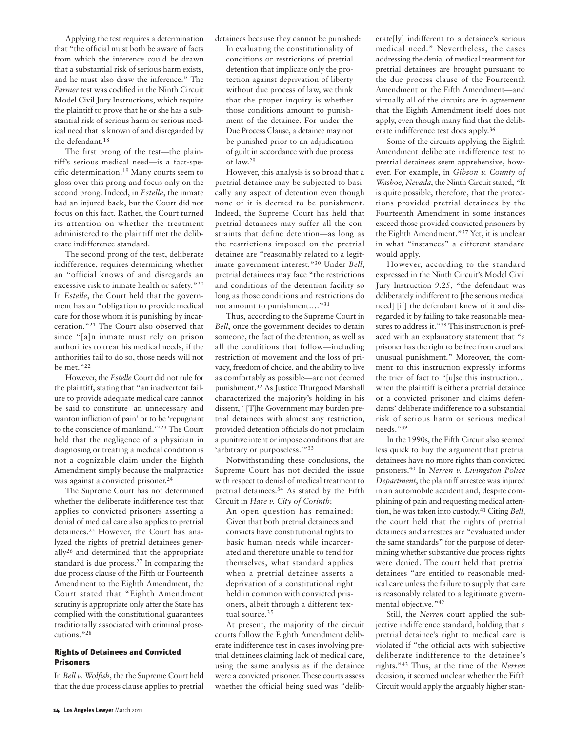Applying the test requires a determination that "the official must both be aware of facts from which the inference could be drawn that a substantial risk of serious harm exists, and he must also draw the inference." The *Farmer* test was codified in the Ninth Circuit Model Civil Jury Instructions, which require the plaintiff to prove that he or she has a substantial risk of serious harm or serious medical need that is known of and disregarded by the defendant.18

The first prong of the test—the plaintiff's serious medical need—is a fact-specific determination.19 Many courts seem to gloss over this prong and focus only on the second prong. Indeed, in *Estelle*, the inmate had an injured back, but the Court did not focus on this fact. Rather, the Court turned its attention on whether the treatment administered to the plaintiff met the deliberate indifference standard.

The second prong of the test, deliberate indifference, requires determining whether an "official knows of and disregards an excessive risk to inmate health or safety."20 In *Estelle*, the Court held that the government has an "obligation to provide medical care for those whom it is punishing by incarceration."21 The Court also observed that since "[a]n inmate must rely on prison authorities to treat his medical needs, if the authorities fail to do so, those needs will not be met."22

However, the *Estelle* Court did not rule for the plaintiff, stating that "an inadvertent failure to provide adequate medical care cannot be said to constitute 'an unnecessary and wanton infliction of pain' or to be 'repugnant to the conscience of mankind.'"23 The Court held that the negligence of a physician in diagnosing or treating a medical condition is not a cognizable claim under the Eighth Amendment simply because the malpractice was against a convicted prisoner.<sup>24</sup>

The Supreme Court has not determined whether the deliberate indifference test that applies to convicted prisoners asserting a denial of medical care also applies to pretrial detainees.25 However, the Court has analyzed the rights of pretrial detainees generally26 and determined that the appropriate standard is due process.27 In comparing the due process clause of the Fifth or Fourteenth Amendment to the Eighth Amendment, the Court stated that "Eighth Amendment scrutiny is appropriate only after the State has complied with the constitutional guarantees traditionally associated with criminal prosecutions."28

### **Rights of Detainees and Convicted Prisoners**

In *Bell v. Wolfish*, the the Supreme Court held that the due process clause applies to pretrial detainees because they cannot be punished: In evaluating the constitutionality of conditions or restrictions of pretrial detention that implicate only the protection against deprivation of liberty without due process of law, we think that the proper inquiry is whether those conditions amount to punishment of the detainee. For under the Due Process Clause, a detainee may not be punished prior to an adjudication of guilt in accordance with due process of law.29

However, this analysis is so broad that a pretrial detainee may be subjected to basically any aspect of detention even though none of it is deemed to be punishment. Indeed, the Supreme Court has held that pretrial detainees may suffer all the constraints that define detention—as long as the restrictions imposed on the pretrial detainee are "reasonably related to a legitimate government interest."30 Under *Bell*, pretrial detainees may face "the restrictions and conditions of the detention facility so long as those conditions and restrictions do not amount to punishment…."31

Thus, according to the Supreme Court in *Bell*, once the government decides to detain someone, the fact of the detention, as well as all the conditions that follow—including restriction of movement and the loss of privacy, freedom of choice, and the ability to live as comfortably as possible—are not deemed punishment.32 As Justice Thurgood Marshall characterized the majority's holding in his dissent, "[T]he Government may burden pretrial detainees with almost any restriction, provided detention officials do not proclaim a punitive intent or impose conditions that are 'arbitrary or purposeless.'"33

Notwithstanding these conclusions, the Supreme Court has not decided the issue with respect to denial of medical treatment to pretrial detainees.34 As stated by the Fifth Circuit in *Hare v. City of Corinth*:

An open question has remained: Given that both pretrial detainees and convicts have constitutional rights to basic human needs while incarcerated and therefore unable to fend for themselves, what standard applies when a pretrial detainee asserts a deprivation of a constitutional right held in common with convicted prisoners, albeit through a different textual source.<sup>35</sup>

At present, the majority of the circuit courts follow the Eighth Amendment deliberate indifference test in cases involving pretrial detainees claiming lack of medical care, using the same analysis as if the detainee were a convicted prisoner. These courts assess whether the official being sued was "delib-

erate[ly] indifferent to a detainee's serious medical need." Nevertheless, the cases addressing the denial of medical treatment for pretrial detainees are brought pursuant to the due process clause of the Fourteenth Amendment or the Fifth Amendment—and virtually all of the circuits are in agreement that the Eighth Amendment itself does not apply, even though many find that the deliberate indifference test does apply.36

Some of the circuits applying the Eighth Amendment deliberate indifference test to pretrial detainees seem apprehensive, however. For example, in *Gibson v. County of Washoe, Nevada*, the Ninth Circuit stated, "It is quite possible, therefore, that the protections provided pretrial detainees by the Fourteenth Amendment in some instances exceed those provided convicted prisoners by the Eighth Amendment."37 Yet, it is unclear in what "instances" a different standard would apply.

However, according to the standard expressed in the Ninth Circuit's Model Civil Jury Instruction 9.25, "the defendant was deliberately indifferent to [the serious medical need] [if] the defendant knew of it and disregarded it by failing to take reasonable measures to address it."<sup>38</sup> This instruction is prefaced with an explanatory statement that "a prisoner has the right to be free from cruel and unusual punishment." Moreover, the comment to this instruction expressly informs the trier of fact to "[u]se this instruction… when the plaintiff is either a pretrial detainee or a convicted prisoner and claims defendants' deliberate indifference to a substantial risk of serious harm or serious medical needs."39

In the 1990s, the Fifth Circuit also seemed less quick to buy the argument that pretrial detainees have no more rights than convicted prisoners.40 In *Nerren v. Livingston Police Department*, the plaintiff arrestee was injured in an automobile accident and, despite complaining of pain and requesting medical attention, he was taken into custody. <sup>41</sup> Citing *Bell*, the court held that the rights of pretrial detainees and arrestees are "evaluated under the same standards" for the purpose of determining whether substantive due process rights were denied. The court held that pretrial detainees "are entitled to reasonable medical care unless the failure to supply that care is reasonably related to a legitimate governmental objective."42

Still, the *Nerren* court applied the subjective indifference standard, holding that a pretrial detainee's right to medical care is violated if "the official acts with subjective deliberate indifference to the detainee's rights."43 Thus, at the time of the *Nerren* decision, it seemed unclear whether the Fifth Circuit would apply the arguably higher stan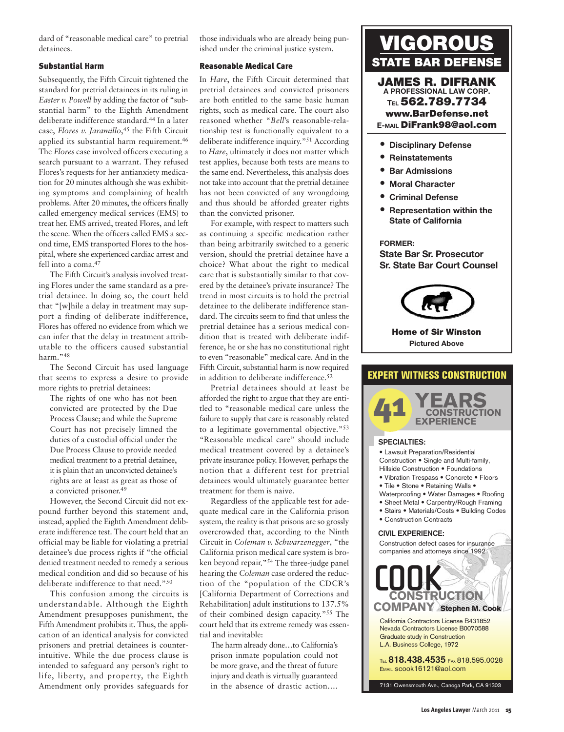dard of "reasonable medical care" to pretrial detainees.

## **Substantial Harm**

Subsequently, the Fifth Circuit tightened the standard for pretrial detainees in its ruling in *Easter v. Powell* by adding the factor of "substantial harm" to the Eighth Amendment deliberate indifference standard.44 In a later case, *Flores v. Jaramillo*, <sup>45</sup> the Fifth Circuit applied its substantial harm requirement.<sup>46</sup> The *Flores* case involved officers executing a search pursuant to a warrant. They refused Flores's requests for her antianxiety medication for 20 minutes although she was exhibiting symptoms and complaining of health problems. After 20 minutes, the officers finally called emergency medical services (EMS) to treat her. EMS arrived, treated Flores, and left the scene. When the officers called EMS a second time, EMS transported Flores to the hospital, where she experienced cardiac arrest and fell into a coma.<sup>47</sup>

The Fifth Circuit's analysis involved treating Flores under the same standard as a pretrial detainee. In doing so, the court held that "[w]hile a delay in treatment may support a finding of deliberate indifference, Flores has offered no evidence from which we can infer that the delay in treatment attributable to the officers caused substantial harm<sup>"48</sup>

The Second Circuit has used language that seems to express a desire to provide more rights to pretrial detainees:

The rights of one who has not been convicted are protected by the Due Process Clause; and while the Supreme Court has not precisely limned the duties of a custodial official under the Due Process Clause to provide needed medical treatment to a pretrial detainee, it is plain that an unconvicted detainee's rights are at least as great as those of a convicted prisoner.49

However, the Second Circuit did not expound further beyond this statement and, instead, applied the Eighth Amendment deliberate indifference test. The court held that an official may be liable for violating a pretrial detainee's due process rights if "the official denied treatment needed to remedy a serious medical condition and did so because of his deliberate indifference to that need."50

This confusion among the circuits is understandable. Although the Eighth Amendment presupposes punishment, the Fifth Amendment prohibits it. Thus, the application of an identical analysis for convicted prisoners and pretrial detainees is counterintuitive. While the due process clause is intended to safeguard any person's right to life, liberty, and property, the Eighth Amendment only provides safeguards for those individuals who are already being punished under the criminal justice system.

## **Reasonable Medical Care**

In *Hare*, the Fifth Circuit determined that pretrial detainees and convicted prisoners are both entitled to the same basic human rights, such as medical care. The court also reasoned whether "*Bell*'s reasonable-relationship test is functionally equivalent to a deliberate indifference inquiry."51 According to *Hare*, ultimately it does not matter which test applies, because both tests are means to the same end. Nevertheless, this analysis does not take into account that the pretrial detainee has not been convicted of any wrongdoing and thus should be afforded greater rights than the convicted prisoner.

For example, with respect to matters such as continuing a specific medication rather than being arbitrarily switched to a generic version, should the pretrial detainee have a choice? What about the right to medical care that is substantially similar to that covered by the detainee's private insurance? The trend in most circuits is to hold the pretrial detainee to the deliberate indifference standard. The circuits seem to find that unless the pretrial detainee has a serious medical condition that is treated with deliberate indifference, he or she has no constitutional right to even "reasonable" medical care. And in the Fifth Circuit, substantial harm is now required in addition to deliberate indifference.52

Pretrial detainees should at least be afforded the right to argue that they are entitled to "reasonable medical care unless the failure to supply that care is reasonably related to a legitimate governmental objective."53 "Reasonable medical care" should include medical treatment covered by a detainee's private insurance policy. However, perhaps the notion that a different test for pretrial detainees would ultimately guarantee better treatment for them is naive.

Regardless of the applicable test for adequate medical care in the California prison system, the reality is that prisons are so grossly overcrowded that, according to the Ninth Circuit in *Coleman v. Schwarzenegger*, "the California prison medical care system is broken beyond repair."54 The three-judge panel hearing the *Coleman* case ordered the reduction of the "population of the CDCR's [California Department of Corrections and Rehabilitation] adult institutions to 137.5% of their combined design capacity."55 The court held that its extreme remedy was essential and inevitable:

The harm already done…to California's prison inmate population could not be more grave, and the threat of future injury and death is virtually guaranteed in the absence of drastic action.…



**A PROFESSIONAL LAW CORP. TEL 562.789.7734 www.BarDefense.net E-MAIL DiFrank98@aol.com**

- **• Disciplinary Defense**
- **• Reinstatements**
- **• Bar Admissions**
- **• Moral Character**
- **• Criminal Defense**
- **• Representation within the State of California**

#### **FORMER:**

**State Bar Sr. Prosecutor Sr. State Bar Court Counsel**



#### **Home of Sir Winston Pictured Above**

# **EXPERT WITNESS CONSTRUCTION**



#### **SPECIALTIES:**

California Contractors License B431852 Nevada Contractors License B0070588 Graduate study in Construction L.A. Business College, 1972 TEL **818.438.4535** FAX 818.595.0028 EMAIL scook16121@aol.com 7131 Owensmouth Ave., Canoga Park, CA 91303 **Stephen M. Cook COMPANY**• Lawsuit Preparation/Residential Construction • Single and Multi-family, Hillside Construction • Foundations • Vibration Trespass • Concrete • Floors • Tile • Stone • Retaining Walls • Waterproofing • Water Damages • Roofing • Sheet Metal • Carpentry/Rough Framing • Stairs • Materials/Costs • Building Codes • Construction Contracts Construction defect cases for insurance companies and attorneys since 1992 **CIVIL EXPERIENCE: COOK CONSTRUCTION**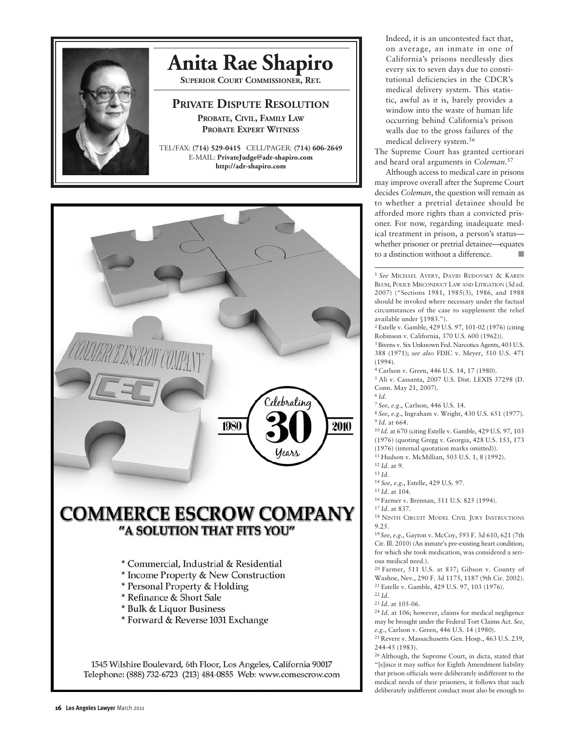

# **[Anita Rae Shapiro](http://www.adr-shapiro.com)**

**SUPERIOR COURT COMMISSIONER, RET.**

# **PRIVATE DISPUTE RESOLUTION PROBATE, CIVIL, FAMILY LAW PROBATE EXPERT WITNESS**

TEL/FAX: **(714) 529-0415** CELL/PAGER: **(714) 606-2649** E-MAIL: **PrivateJudge@adr-shapiro.com http://adr-shapiro.com**



Indeed, it is an uncontested fact that, on average, an inmate in one of California's prisons needlessly dies every six to seven days due to constitutional deficiencies in the CDCR's medical delivery system. This statistic, awful as it is, barely provides a window into the waste of human life occurring behind California's prison walls due to the gross failures of the medical delivery system.56

The Supreme Court has granted certiorari and heard oral arguments in *Coleman*. 57

Although access to medical care in prisons may improve overall after the Supreme Court decides *Coleman*, the question will remain as to whether a pretrial detainee should be afforded more rights than a convicted prisoner. For now, regarding inadequate medical treatment in prison, a person's status whether prisoner or pretrial detainee—equates to a distinction without a difference.

<sup>1</sup> *See* MICHAEL AVERY, DAVID RUDOVSKY & KAREN BLUM, POLICE MISCONDUCT LAW AND LITIGATION (3d ed. 2007) ("Sections 1981, 1985(3), 1986, and 1988 should be invoked where necessary under the factual circumstances of the case to supplement the relief available under §1983.").

<sup>2</sup> Estelle v. Gamble, 429 U.S. 97, 101-02 (1976) (citing Robinson v. California, 370 U.S. 600 (1962)).

3Bivens v. Six Unknown Fed. Narcotics Agents, 403 U.S. 388 (1971); *see also* FDIC v. Meyer, 510 U.S. 471 (1994).

4 Carlson v. Green, 446 U.S. 14, 17 (1980).

<sup>5</sup> Ali v. Cassanta, 2007 U.S. Dist. LEXIS 37298 (D. Conn. May 21, 2007). <sup>6</sup>*Id*.

<sup>7</sup>*See*, *e.g*., Carlson, 446 U.S. 14.

<sup>8</sup>*See*, *e.g*., Ingraham v. Wright, 430 U.S. 651 (1977). <sup>9</sup>*Id*. at 664.

<sup>10</sup>*Id*. at 670 (citing Estelle v. Gamble, 429 U.S. 97, 103 (1976) (quoting Gregg v. Georgia, 428 U.S. 153, 173 (1976) (internal quotation marks omitted)).

11 Hudson v. McMillian, 503 U.S. 1, 8 (1992).

<sup>12</sup>*Id*. at 9. <sup>13</sup>*Id*.

<sup>14</sup>*See*, *e.g*., Estelle, 429 U.S. 97.

<sup>15</sup>*Id*. at 104.

16 Farmer v. Brennan, 511 U.S. 825 (1994).

<sup>17</sup>*Id*. at 837.

18 NINTH CIRCUIT MODEL CIVIL JURY INSTRUCTIONS 9.25.

<sup>19</sup>*See*, *e.g*., Gayton v. McCoy, 593 F. 3d 610, 621 (7th Cir. Ill. 2010) (An inmate's pre-existing heart condition, for which she took medication, was considered a serious medical need.).

20 Farmer, 511 U.S. at 837; Gibson v. County of Washoe, Nev., 290 F. 3d 1175, 1187 (9th Cir. 2002). 21 Estelle v. Gamble, 429 U.S. 97, 103 (1976). <sup>22</sup>*Id*.

<sup>23</sup>*Id*. at 105-06.

<sup>24</sup>*Id*. at 106; however, claims for medical negligence may be brought under the Federal Tort Claims Act. *See, e.g*., Carlson v. Green, 446 U.S. 14 (1980).

25 Revere v. Massachusetts Gen. Hosp., 463 U.S. 239, 244-45 (1983).

26 Although, the Supreme Court, in dicta, stated that "[s]ince it may suffice for Eighth Amendment liability that prison officials were deliberately indifferent to the medical needs of their prisoners, it follows that such deliberately indifferent conduct must also be enough to